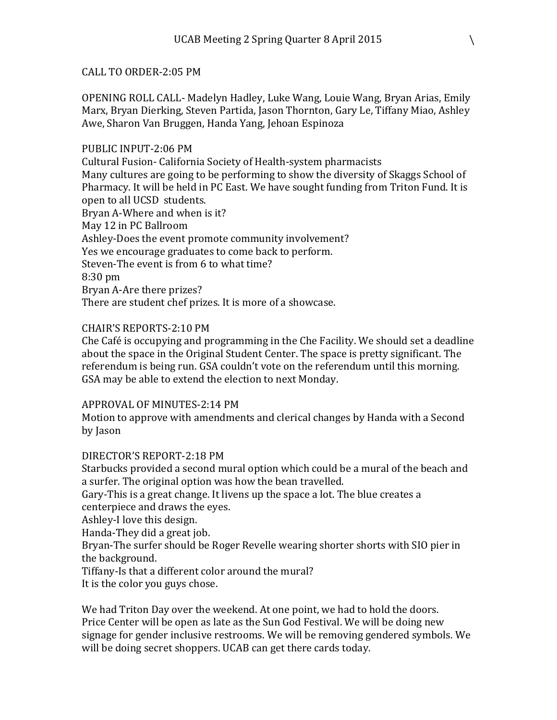## CALL TO ORDER-2:05 PM

OPENING ROLL CALL- Madelyn Hadley, Luke Wang, Louie Wang, Bryan Arias, Emily Marx, Bryan Dierking, Steven Partida, Jason Thornton, Gary Le, Tiffany Miao, Ashley Awe, Sharon Van Bruggen, Handa Yang, Jehoan Espinoza

## PUBLIC INPUT-2:06 PM

Cultural Fusion- California Society of Health-system pharmacists Many cultures are going to be performing to show the diversity of Skaggs School of Pharmacy. It will be held in PC East. We have sought funding from Triton Fund. It is open to all UCSD students. Bryan A-Where and when is it? May 12 in PC Ballroom Ashley-Does the event promote community involvement? Yes we encourage graduates to come back to perform. Steven-The event is from 6 to what time? 8:30 pm Bryan A-Are there prizes? There are student chef prizes. It is more of a showcase.

## CHAIR'S REPORTS-2:10 PM

Che Café is occupying and programming in the Che Facility. We should set a deadline about the space in the Original Student Center. The space is pretty significant. The referendum is being run. GSA couldn't vote on the referendum until this morning. GSA may be able to extend the election to next Monday.

#### APPROVAL OF MINUTES-2:14 PM

Motion to approve with amendments and clerical changes by Handa with a Second by Jason

# DIRECTOR'S REPORT-2:18 PM

Starbucks provided a second mural option which could be a mural of the beach and a surfer. The original option was how the bean travelled.

Gary-This is a great change. It livens up the space a lot. The blue creates a centerpiece and draws the eyes.

Ashley-I love this design.

Handa-They did a great job.

Bryan-The surfer should be Roger Revelle wearing shorter shorts with SIO pier in the background.

Tiffany-Is that a different color around the mural?

It is the color you guys chose.

We had Triton Day over the weekend. At one point, we had to hold the doors. Price Center will be open as late as the Sun God Festival. We will be doing new signage for gender inclusive restrooms. We will be removing gendered symbols. We will be doing secret shoppers. UCAB can get there cards today.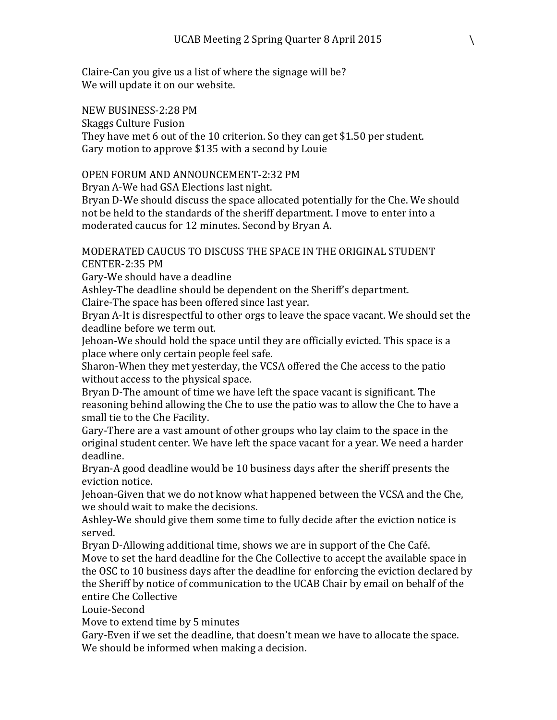Claire-Can you give us a list of where the signage will be? We will update it on our website.

NEW BUSINESS-2:28 PM

Skaggs Culture Fusion

They have met 6 out of the 10 criterion. So they can get \$1.50 per student. Gary motion to approve \$135 with a second by Louie

## OPEN FORUM AND ANNOUNCEMENT-2:32 PM

Bryan A-We had GSA Elections last night.

Bryan D-We should discuss the space allocated potentially for the Che. We should not be held to the standards of the sheriff department. I move to enter into a moderated caucus for 12 minutes. Second by Bryan A.

MODERATED CAUCUS TO DISCUSS THE SPACE IN THE ORIGINAL STUDENT CENTER-2:35 PM

Gary-We should have a deadline

Ashley-The deadline should be dependent on the Sheriff's department.

Claire-The space has been offered since last year.

Bryan A-It is disrespectful to other orgs to leave the space vacant. We should set the deadline before we term out.

Jehoan-We should hold the space until they are officially evicted. This space is a place where only certain people feel safe.

Sharon-When they met yesterday, the VCSA offered the Che access to the patio without access to the physical space.

Bryan D-The amount of time we have left the space vacant is significant. The reasoning behind allowing the Che to use the patio was to allow the Che to have a small tie to the Che Facility.

Gary-There are a vast amount of other groups who lay claim to the space in the original student center. We have left the space vacant for a year. We need a harder deadline.

Bryan-A good deadline would be 10 business days after the sheriff presents the eviction notice.

Jehoan-Given that we do not know what happened between the VCSA and the Che, we should wait to make the decisions.

Ashley-We should give them some time to fully decide after the eviction notice is served.

Bryan D-Allowing additional time, shows we are in support of the Che Café. Move to set the hard deadline for the Che Collective to accept the available space in the OSC to 10 business days after the deadline for enforcing the eviction declared by the Sheriff by notice of communication to the UCAB Chair by email on behalf of the entire Che Collective

Louie-Second

Move to extend time by 5 minutes

Gary-Even if we set the deadline, that doesn't mean we have to allocate the space. We should be informed when making a decision.